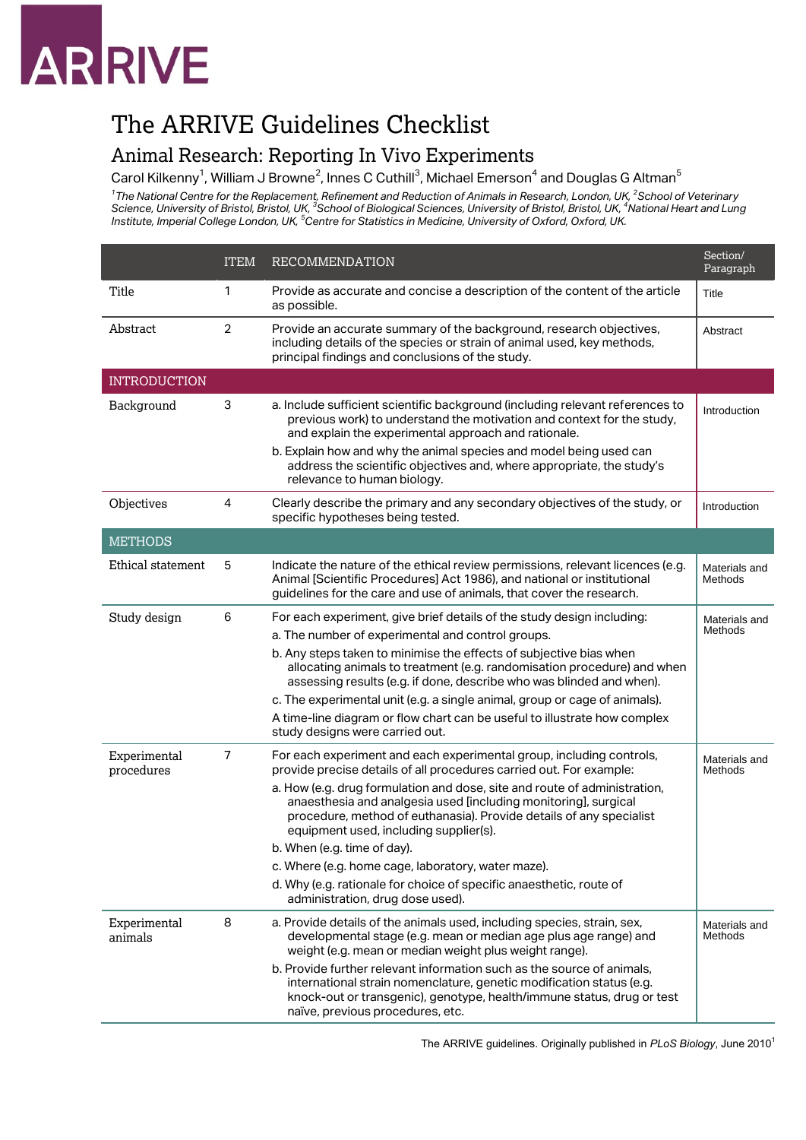# **ARRIVE**

### The ARRIVE Guidelines Checklist

#### Animal Research: Reporting In Vivo Experiments

Carol Kilkenny $^1$ , William J Browne $^2$ , Innes C Cuthill $^3$ , Michael Emerson $^4$  and Douglas G Altman $^5$ 

*1 The National Centre for the Replacement, Refinement and Reduction of Animals in Research, London, UK, 2 School of Veterinary*  Science, University of Bristol, Bristol, UK, <sup>3</sup>School of Biological Sciences, University of Bristol, Bristol, UK, <sup>4</sup>National Heart and Lung<br>Institute, Imperial College London, UK, <sup>5</sup>Centre for Statistics in Medicine, Un

|                            | <b>ITEM</b>    | <b>RECOMMENDATION</b>                                                                                                                                                                                                                                         | Section/<br>Paragraph    |
|----------------------------|----------------|---------------------------------------------------------------------------------------------------------------------------------------------------------------------------------------------------------------------------------------------------------------|--------------------------|
| Title                      | 1              | Provide as accurate and concise a description of the content of the article<br>as possible.                                                                                                                                                                   | Title                    |
| Abstract                   | $\overline{c}$ | Provide an accurate summary of the background, research objectives,<br>including details of the species or strain of animal used, key methods,<br>principal findings and conclusions of the study.                                                            | Abstract                 |
| <b>INTRODUCTION</b>        |                |                                                                                                                                                                                                                                                               |                          |
| Background                 | 3              | a. Include sufficient scientific background (including relevant references to<br>previous work) to understand the motivation and context for the study,<br>and explain the experimental approach and rationale.                                               | Introduction             |
|                            |                | b. Explain how and why the animal species and model being used can<br>address the scientific objectives and, where appropriate, the study's<br>relevance to human biology.                                                                                    |                          |
| Objectives                 | 4              | Clearly describe the primary and any secondary objectives of the study, or<br>specific hypotheses being tested.                                                                                                                                               | Introduction             |
| <b>METHODS</b>             |                |                                                                                                                                                                                                                                                               |                          |
| Ethical statement          | 5              | Indicate the nature of the ethical review permissions, relevant licences (e.g.<br>Animal [Scientific Procedures] Act 1986), and national or institutional<br>guidelines for the care and use of animals, that cover the research.                             | Materials and<br>Methods |
| Study design               | 6              | For each experiment, give brief details of the study design including:                                                                                                                                                                                        | Materials and            |
|                            |                | a. The number of experimental and control groups.                                                                                                                                                                                                             | Methods                  |
|                            |                | b. Any steps taken to minimise the effects of subjective bias when<br>allocating animals to treatment (e.g. randomisation procedure) and when<br>assessing results (e.g. if done, describe who was blinded and when).                                         |                          |
|                            |                | c. The experimental unit (e.g. a single animal, group or cage of animals).                                                                                                                                                                                    |                          |
|                            |                | A time-line diagram or flow chart can be useful to illustrate how complex<br>study designs were carried out.                                                                                                                                                  |                          |
| Experimental<br>procedures | 7              | For each experiment and each experimental group, including controls,<br>provide precise details of all procedures carried out. For example:                                                                                                                   | Materials and<br>Methods |
|                            |                | a. How (e.g. drug formulation and dose, site and route of administration,<br>anaesthesia and analgesia used [including monitoring], surgical<br>procedure, method of euthanasia). Provide details of any specialist<br>equipment used, including supplier(s). |                          |
|                            |                | b. When (e.g. time of day).                                                                                                                                                                                                                                   |                          |
|                            |                | c. Where (e.g. home cage, laboratory, water maze).                                                                                                                                                                                                            |                          |
|                            |                | d. Why (e.g. rationale for choice of specific anaesthetic, route of<br>administration, drug dose used).                                                                                                                                                       |                          |
| Experimental<br>animals    | 8              | a. Provide details of the animals used, including species, strain, sex,<br>developmental stage (e.g. mean or median age plus age range) and<br>weight (e.g. mean or median weight plus weight range).                                                         | Materials and<br>Methods |
|                            |                | b. Provide further relevant information such as the source of animals,<br>international strain nomenclature, genetic modification status (e.g.<br>knock-out or transgenic), genotype, health/immune status, drug or test<br>naïve, previous procedures, etc.  |                          |